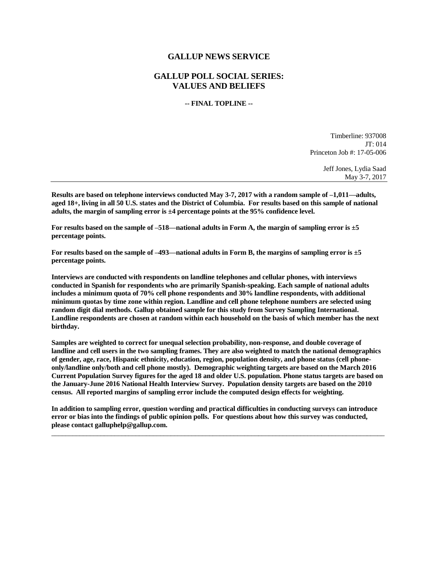## **GALLUP NEWS SERVICE**

## **GALLUP POLL SOCIAL SERIES: VALUES AND BELIEFS**

## **-- FINAL TOPLINE --**

Timberline: 937008 JT: 014 Princeton Job #: 17-05-006

> Jeff Jones, Lydia Saad May 3-7, 2017

**Results are based on telephone interviews conducted May 3-7, 2017 with a random sample of –1,011—adults, aged 18+, living in all 50 U.S. states and the District of Columbia. For results based on this sample of national adults, the margin of sampling error is ±4 percentage points at the 95% confidence level.** 

**For results based on the sample of –518—national adults in Form A, the margin of sampling error is ±5 percentage points.**

**For results based on the sample of –493—national adults in Form B, the margins of sampling error is ±5 percentage points.**

**Interviews are conducted with respondents on landline telephones and cellular phones, with interviews conducted in Spanish for respondents who are primarily Spanish-speaking. Each sample of national adults includes a minimum quota of 70% cell phone respondents and 30% landline respondents, with additional minimum quotas by time zone within region. Landline and cell phone telephone numbers are selected using random digit dial methods. Gallup obtained sample for this study from Survey Sampling International. Landline respondents are chosen at random within each household on the basis of which member has the next birthday.**

**Samples are weighted to correct for unequal selection probability, non-response, and double coverage of landline and cell users in the two sampling frames. They are also weighted to match the national demographics of gender, age, race, Hispanic ethnicity, education, region, population density, and phone status (cell phoneonly/landline only/both and cell phone mostly). Demographic weighting targets are based on the March 2016 Current Population Survey figures for the aged 18 and older U.S. population. Phone status targets are based on the January-June 2016 National Health Interview Survey. Population density targets are based on the 2010 census. All reported margins of sampling error include the computed design effects for weighting.** 

**In addition to sampling error, question wording and practical difficulties in conducting surveys can introduce error or bias into the findings of public opinion polls. For questions about how this survey was conducted, please contact galluphelp@gallup.com.**

 $\overline{\phantom{a}}$  ,  $\overline{\phantom{a}}$  ,  $\overline{\phantom{a}}$  ,  $\overline{\phantom{a}}$  ,  $\overline{\phantom{a}}$  ,  $\overline{\phantom{a}}$  ,  $\overline{\phantom{a}}$  ,  $\overline{\phantom{a}}$  ,  $\overline{\phantom{a}}$  ,  $\overline{\phantom{a}}$  ,  $\overline{\phantom{a}}$  ,  $\overline{\phantom{a}}$  ,  $\overline{\phantom{a}}$  ,  $\overline{\phantom{a}}$  ,  $\overline{\phantom{a}}$  ,  $\overline{\phantom{a}}$